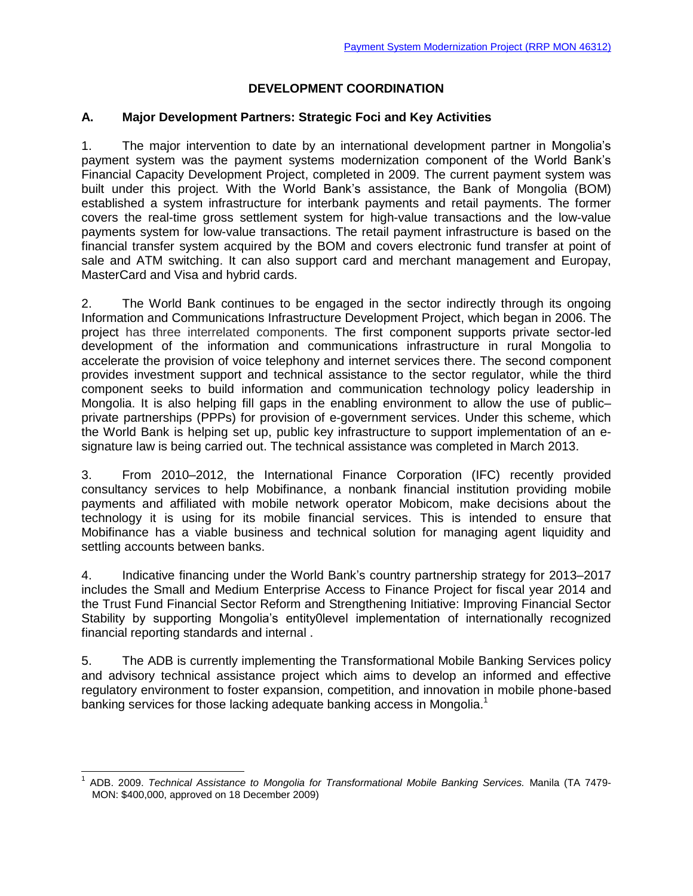# **DEVELOPMENT COORDINATION**

### **A. Major Development Partners: Strategic Foci and Key Activities**

1. The major intervention to date by an international development partner in Mongolia's payment system was the payment systems modernization component of the World Bank's Financial Capacity Development Project, completed in 2009. The current payment system was built under this project. With the World Bank's assistance, the Bank of Mongolia (BOM) established a system infrastructure for interbank payments and retail payments. The former covers the real-time gross settlement system for high-value transactions and the low-value payments system for low-value transactions. The retail payment infrastructure is based on the financial transfer system acquired by the BOM and covers electronic fund transfer at point of sale and ATM switching. It can also support card and merchant management and Europay, MasterCard and Visa and hybrid cards.

2. The World Bank continues to be engaged in the sector indirectly through its ongoing Information and Communications Infrastructure Development Project, which began in 2006. The project has three interrelated components. The first component supports private sector-led development of the information and communications infrastructure in rural Mongolia to accelerate the provision of voice telephony and internet services there. The second component provides investment support and technical assistance to the sector regulator, while the third component seeks to build information and communication technology policy leadership in Mongolia. It is also helping fill gaps in the enabling environment to allow the use of public– private partnerships (PPPs) for provision of e-government services. Under this scheme, which the World Bank is helping set up, public key infrastructure to support implementation of an esignature law is being carried out. The technical assistance was completed in March 2013.

3. From 2010–2012, the International Finance Corporation (IFC) recently provided consultancy services to help Mobifinance, a nonbank financial institution providing mobile payments and affiliated with mobile network operator Mobicom, make decisions about the technology it is using for its mobile financial services. This is intended to ensure that Mobifinance has a viable business and technical solution for managing agent liquidity and settling accounts between banks.

4. Indicative financing under the World Bank's country partnership strategy for 2013–2017 includes the Small and Medium Enterprise Access to Finance Project for fiscal year 2014 and the Trust Fund Financial Sector Reform and Strengthening Initiative: Improving Financial Sector Stability by supporting Mongolia's entity0level implementation of internationally recognized financial reporting standards and internal .

5. The ADB is currently implementing the Transformational Mobile Banking Services policy and advisory technical assistance project which aims to develop an informed and effective regulatory environment to foster expansion, competition, and innovation in mobile phone-based banking services for those lacking adequate banking access in Mongolia.<sup>1</sup>

j

<sup>1</sup> ADB. 2009. *Technical Assistance to Mongolia for Transformational Mobile Banking Services.* Manila (TA 7479- MON: \$400,000, approved on 18 December 2009)